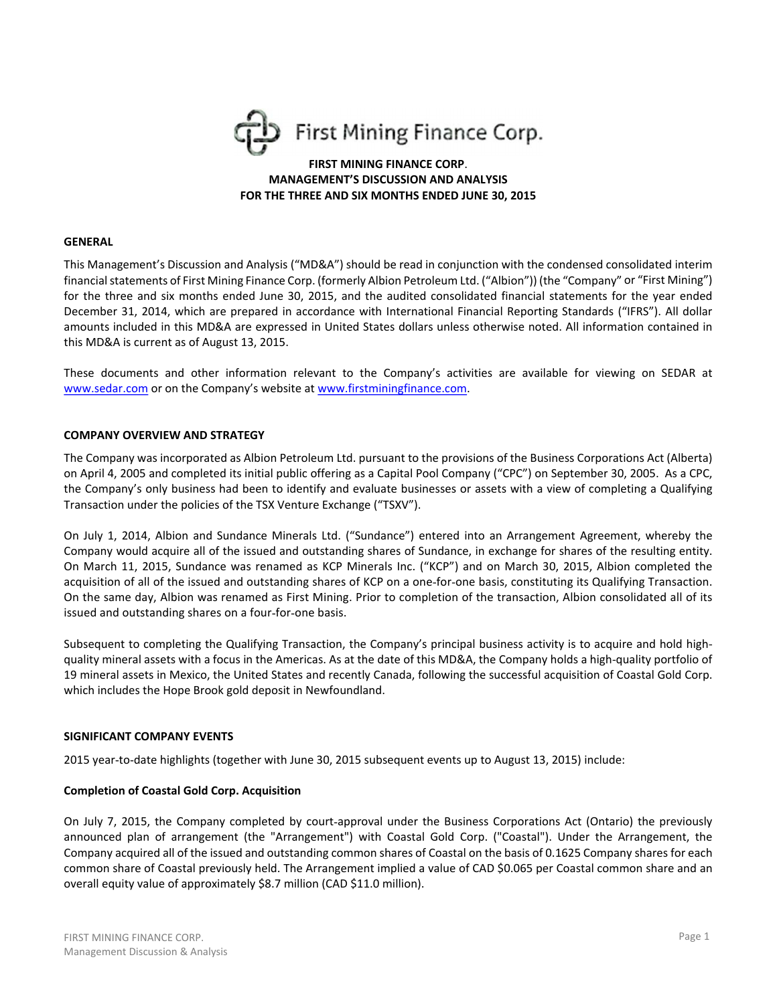

# **FIRST MINING FINANCE CORP. MANAGEMENT'S DISCUSSION AND ANALYSIS** FOR THE THREE AND SIX MONTHS ENDED JUNE 30, 2015

#### **GENERAL**

This Management's Discussion and Analysis ("MD&A") should be read in conjunction with the condensed consolidated interim financial statements of First Mining Finance Corp. (formerly Albion Petroleum Ltd. ("Albion")) (the "Company" or "First Mining") for the three and six months ended June 30, 2015, and the audited consolidated financial statements for the year ended December 31, 2014, which are prepared in accordance with International Financial Reporting Standards ("IFRS"). All dollar amounts included in this MD&A are expressed in United States dollars unless otherwise noted. All information contained in this MD&A is current as of August 13, 2015.

These documents and other information relevant to the Company's activities are available for viewing on SEDAR at www.sedar.com or on the Company's website at www.firstminingfinance.com.

#### **COMPANY OVERVIEW AND STRATEGY**

The Company was incorporated as Albion Petroleum Ltd. pursuant to the provisions of the Business Corporations Act (Alberta) on April 4, 2005 and completed its initial public offering as a Capital Pool Company ("CPC") on September 30, 2005. As a CPC, the Company's only business had been to identify and evaluate businesses or assets with a view of completing a Qualifying Transaction under the policies of the TSX Venture Exchange ("TSXV").

On July 1, 2014, Albion and Sundance Minerals Ltd. ("Sundance") entered into an Arrangement Agreement, whereby the Company would acquire all of the issued and outstanding shares of Sundance, in exchange for shares of the resulting entity. On March 11, 2015, Sundance was renamed as KCP Minerals Inc. ("KCP") and on March 30, 2015, Albion completed the acquisition of all of the issued and outstanding shares of KCP on a one-for-one basis, constituting its Qualifying Transaction. On the same day, Albion was renamed as First Mining. Prior to completion of the transaction, Albion consolidated all of its issued and outstanding shares on a four-for-one basis.

Subsequent to completing the Qualifying Transaction, the Company's principal business activity is to acquire and hold highquality mineral assets with a focus in the Americas. As at the date of this MD&A, the Company holds a high-quality portfolio of 19 mineral assets in Mexico, the United States and recently Canada, following the successful acquisition of Coastal Gold Corp. which includes the Hope Brook gold deposit in Newfoundland.

#### **SIGNIFICANT COMPANY EVENTS**

2015 year-to-date highlights (together with June 30, 2015 subsequent events up to August 13, 2015) include:

#### **Completion of Coastal Gold Corp. Acquisition**

On July 7, 2015, the Company completed by court-approval under the Business Corporations Act (Ontario) the previously announced plan of arrangement (the "Arrangement") with Coastal Gold Corp. ("Coastal"). Under the Arrangement, the Company acquired all of the issued and outstanding common shares of Coastal on the basis of 0.1625 Company shares for each common share of Coastal previously held. The Arrangement implied a value of CAD \$0.065 per Coastal common share and an overall equity value of approximately \$8.7 million (CAD \$11.0 million).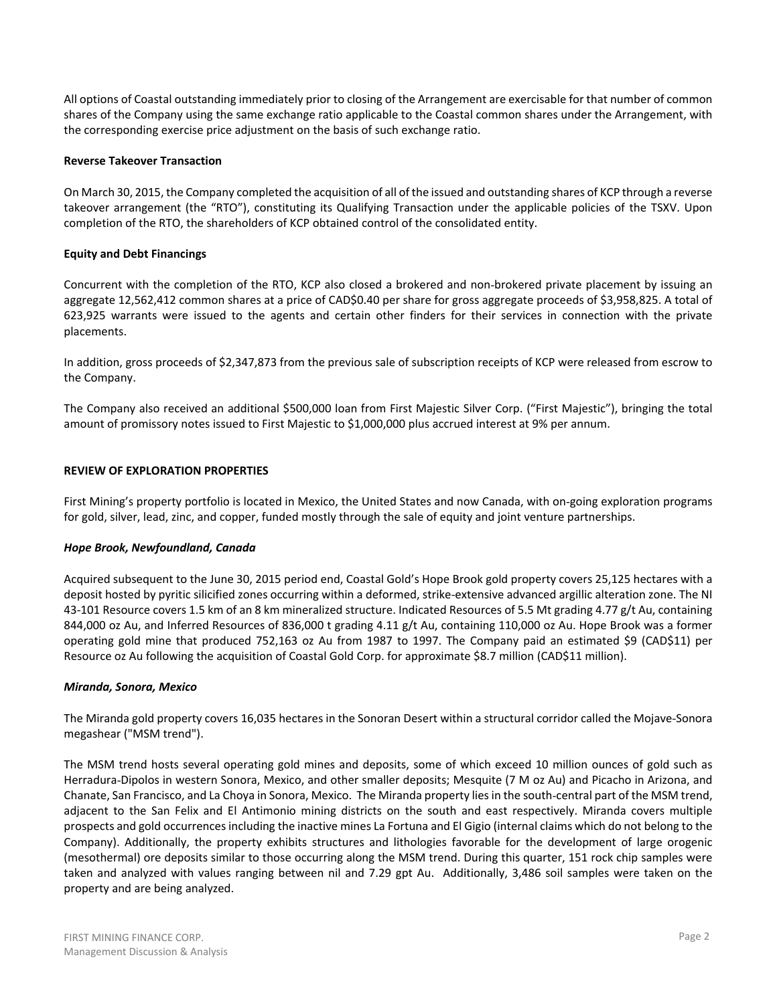All options of Coastal outstanding immediately prior to closing of the Arrangement are exercisable for that number of common shares of the Company using the same exchange ratio applicable to the Coastal common shares under the Arrangement, with the corresponding exercise price adjustment on the basis of such exchange ratio.

# **Reverse Takeover Transaction**

On March 30, 2015, the Company completed the acquisition of all of the issued and outstanding shares of KCP through a reverse takeover arrangement (the "RTO"), constituting its Qualifying Transaction under the applicable policies of the TSXV. Upon completion of the RTO, the shareholders of KCP obtained control of the consolidated entity.

# **Equity and Debt Financings**

Concurrent with the completion of the RTO, KCP also closed a brokered and non-brokered private placement by issuing an aggregate 12,562,412 common shares at a price of CAD\$0.40 per share for gross aggregate proceeds of \$3,958,825. A total of 623,925 warrants were issued to the agents and certain other finders for their services in connection with the private placements.

In addition, gross proceeds of \$2,347,873 from the previous sale of subscription receipts of KCP were released from escrow to the Company.

The Company also received an additional \$500,000 loan from First Majestic Silver Corp. ("First Majestic"), bringing the total amount of promissory notes issued to First Majestic to \$1,000,000 plus accrued interest at 9% per annum.

### **REVIEW OF EXPLORATION PROPERTIES**

First Mining's property portfolio is located in Mexico, the United States and now Canada, with on-going exploration programs for gold, silver, lead, zinc, and copper, funded mostly through the sale of equity and joint venture partnerships.

#### Hope Brook, Newfoundland, Canada

Acquired subsequent to the June 30, 2015 period end, Coastal Gold's Hope Brook gold property covers 25,125 hectares with a deposit hosted by pyritic silicified zones occurring within a deformed, strike-extensive advanced argillic alteration zone. The NI 43-101 Resource covers 1.5 km of an 8 km mineralized structure. Indicated Resources of 5.5 Mt grading 4.77 g/t Au, containing 844,000 oz Au, and Inferred Resources of 836,000 t grading 4.11 g/t Au, containing 110,000 oz Au. Hope Brook was a former operating gold mine that produced 752,163 oz Au from 1987 to 1997. The Company paid an estimated \$9 (CAD\$11) per Resource oz Au following the acquisition of Coastal Gold Corp. for approximate \$8.7 million (CAD\$11 million).

#### Miranda, Sonora, Mexico

The Miranda gold property covers 16,035 hectares in the Sonoran Desert within a structural corridor called the Mojave-Sonora megashear ("MSM trend").

The MSM trend hosts several operating gold mines and deposits, some of which exceed 10 million ounces of gold such as Herradura-Dipolos in western Sonora, Mexico, and other smaller deposits; Mesquite (7 M oz Au) and Picacho in Arizona, and Chanate, San Francisco, and La Choya in Sonora, Mexico. The Miranda property lies in the south-central part of the MSM trend, adjacent to the San Felix and El Antimonio mining districts on the south and east respectively. Miranda covers multiple prospects and gold occurrences including the inactive mines La Fortuna and El Gigio (internal claims which do not belong to the Company). Additionally, the property exhibits structures and lithologies favorable for the development of large orogenic (mesothermal) ore deposits similar to those occurring along the MSM trend. During this quarter, 151 rock chip samples were taken and analyzed with values ranging between nil and 7.29 gpt Au. Additionally, 3,486 soil samples were taken on the property and are being analyzed.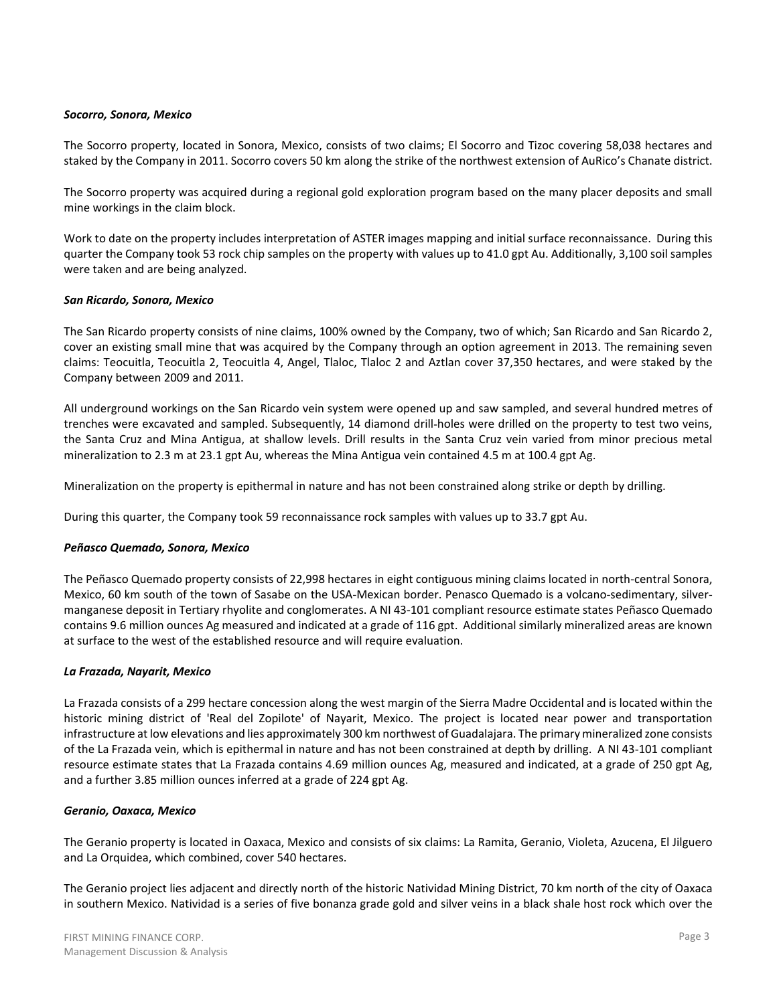### Socorro, Sonora, Mexico

The Socorro property, located in Sonora, Mexico, consists of two claims; El Socorro and Tizoc covering 58,038 hectares and staked by the Company in 2011. Socorro covers 50 km along the strike of the northwest extension of AuRico's Chanate district.

The Socorro property was acquired during a regional gold exploration program based on the many placer deposits and small mine workings in the claim block.

Work to date on the property includes interpretation of ASTER images mapping and initial surface reconnaissance. During this quarter the Company took 53 rock chip samples on the property with values up to 41.0 gpt Au. Additionally, 3,100 soil samples were taken and are being analyzed.

### San Ricardo, Sonora, Mexico

The San Ricardo property consists of nine claims, 100% owned by the Company, two of which; San Ricardo and San Ricardo 2, cover an existing small mine that was acquired by the Company through an option agreement in 2013. The remaining seven claims: Teocuitla, Teocuitla 2, Teocuitla 4, Angel, Tlaloc, Tlaloc 2 and Aztlan cover 37,350 hectares, and were staked by the Company between 2009 and 2011.

All underground workings on the San Ricardo vein system were opened up and saw sampled, and several hundred metres of trenches were excavated and sampled. Subsequently, 14 diamond drill-holes were drilled on the property to test two veins, the Santa Cruz and Mina Antigua, at shallow levels. Drill results in the Santa Cruz vein varied from minor precious metal mineralization to 2.3 m at 23.1 gpt Au, whereas the Mina Antigua vein contained 4.5 m at 100.4 gpt Ag.

Mineralization on the property is epithermal in nature and has not been constrained along strike or depth by drilling.

During this quarter, the Company took 59 reconnaissance rock samples with values up to 33.7 gpt Au.

#### Peñasco Quemado, Sonora, Mexico

The Peñasco Quemado property consists of 22,998 hectares in eight contiguous mining claims located in north-central Sonora, Mexico, 60 km south of the town of Sasabe on the USA-Mexican border. Penasco Quemado is a volcano-sedimentary, silvermanganese deposit in Tertiary rhyolite and conglomerates. A NI 43-101 compliant resource estimate states Peñasco Quemado contains 9.6 million ounces Ag measured and indicated at a grade of 116 gpt. Additional similarly mineralized areas are known at surface to the west of the established resource and will require evaluation.

#### La Frazada, Nayarit, Mexico

La Frazada consists of a 299 hectare concession along the west margin of the Sierra Madre Occidental and is located within the historic mining district of 'Real del Zopilote' of Nayarit, Mexico. The project is located near power and transportation infrastructure at low elevations and lies approximately 300 km northwest of Guadalajara. The primary mineralized zone consists of the La Frazada vein, which is epithermal in nature and has not been constrained at depth by drilling. A NI 43-101 compliant resource estimate states that La Frazada contains 4.69 million ounces Ag, measured and indicated, at a grade of 250 gpt Ag, and a further 3.85 million ounces inferred at a grade of 224 gpt Ag.

#### Geranio, Oaxaca, Mexico

The Geranio property is located in Oaxaca, Mexico and consists of six claims: La Ramita, Geranio, Violeta, Azucena, El Jilguero and La Orquidea, which combined, cover 540 hectares.

The Geranio project lies adjacent and directly north of the historic Natividad Mining District, 70 km north of the city of Oaxaca in southern Mexico. Natividad is a series of five bonanza grade gold and silver veins in a black shale host rock which over the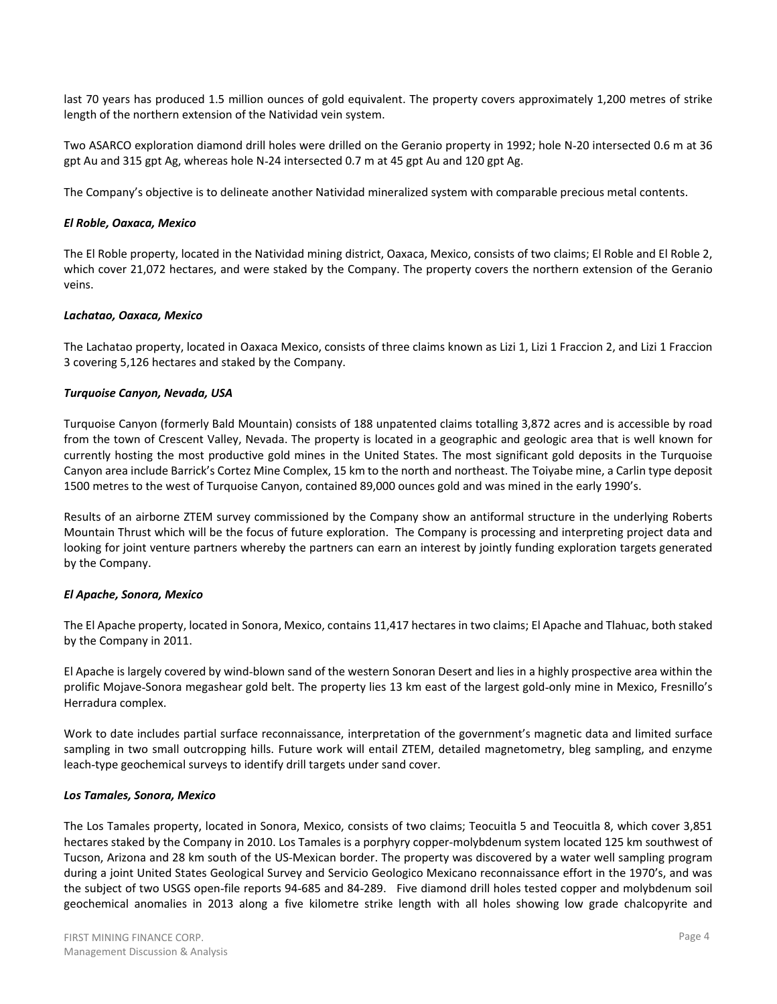last 70 years has produced 1.5 million ounces of gold equivalent. The property covers approximately 1,200 metres of strike length of the northern extension of the Natividad vein system.

Two ASARCO exploration diamond drill holes were drilled on the Geranio property in 1992; hole N-20 intersected 0.6 m at 36 gpt Au and 315 gpt Ag, whereas hole N-24 intersected 0.7 m at 45 gpt Au and 120 gpt Ag.

The Company's objective is to delineate another Natividad mineralized system with comparable precious metal contents.

# El Roble, Oaxaca, Mexico

The El Roble property, located in the Natividad mining district, Oaxaca, Mexico, consists of two claims; El Roble and El Roble 2, which cover 21,072 hectares, and were staked by the Company. The property covers the northern extension of the Geranio veins.

# Lachatao, Oaxaca, Mexico

The Lachatao property, located in Oaxaca Mexico, consists of three claims known as Lizi 1, Lizi 1 Fraccion 2, and Lizi 1 Fraccion 3 covering 5,126 hectares and staked by the Company.

# Turquoise Canyon, Nevada, USA

Turquoise Canyon (formerly Bald Mountain) consists of 188 unpatented claims totalling 3,872 acres and is accessible by road from the town of Crescent Valley, Nevada. The property is located in a geographic and geologic area that is well known for currently hosting the most productive gold mines in the United States. The most significant gold deposits in the Turquoise Canyon area include Barrick's Cortez Mine Complex, 15 km to the north and northeast. The Toiyabe mine, a Carlin type deposit 1500 metres to the west of Turquoise Canyon, contained 89,000 ounces gold and was mined in the early 1990's.

Results of an airborne ZTEM survey commissioned by the Company show an antiformal structure in the underlying Roberts Mountain Thrust which will be the focus of future exploration. The Company is processing and interpreting project data and looking for joint venture partners whereby the partners can earn an interest by jointly funding exploration targets generated by the Company.

# El Apache, Sonora, Mexico

The El Apache property, located in Sonora, Mexico, contains 11,417 hectares in two claims; El Apache and Tlahuac, both staked by the Company in 2011.

El Apache is largely covered by wind-blown sand of the western Sonoran Desert and lies in a highly prospective area within the prolific Mojave-Sonora megashear gold belt. The property lies 13 km east of the largest gold-only mine in Mexico, Fresnillo's Herradura complex.

Work to date includes partial surface reconnaissance, interpretation of the government's magnetic data and limited surface sampling in two small outcropping hills. Future work will entail ZTEM, detailed magnetometry, bleg sampling, and enzyme leach-type geochemical surveys to identify drill targets under sand cover.

# Los Tamales, Sonora, Mexico

The Los Tamales property, located in Sonora, Mexico, consists of two claims; Teocuitla 5 and Teocuitla 8, which cover 3,851 hectares staked by the Company in 2010. Los Tamales is a porphyry copper-molybdenum system located 125 km southwest of Tucson, Arizona and 28 km south of the US-Mexican border. The property was discovered by a water well sampling program during a joint United States Geological Survey and Servicio Geologico Mexicano reconnaissance effort in the 1970's, and was the subject of two USGS open-file reports 94-685 and 84-289. Five diamond drill holes tested copper and molybdenum soil geochemical anomalies in 2013 along a five kilometre strike length with all holes showing low grade chalcopyrite and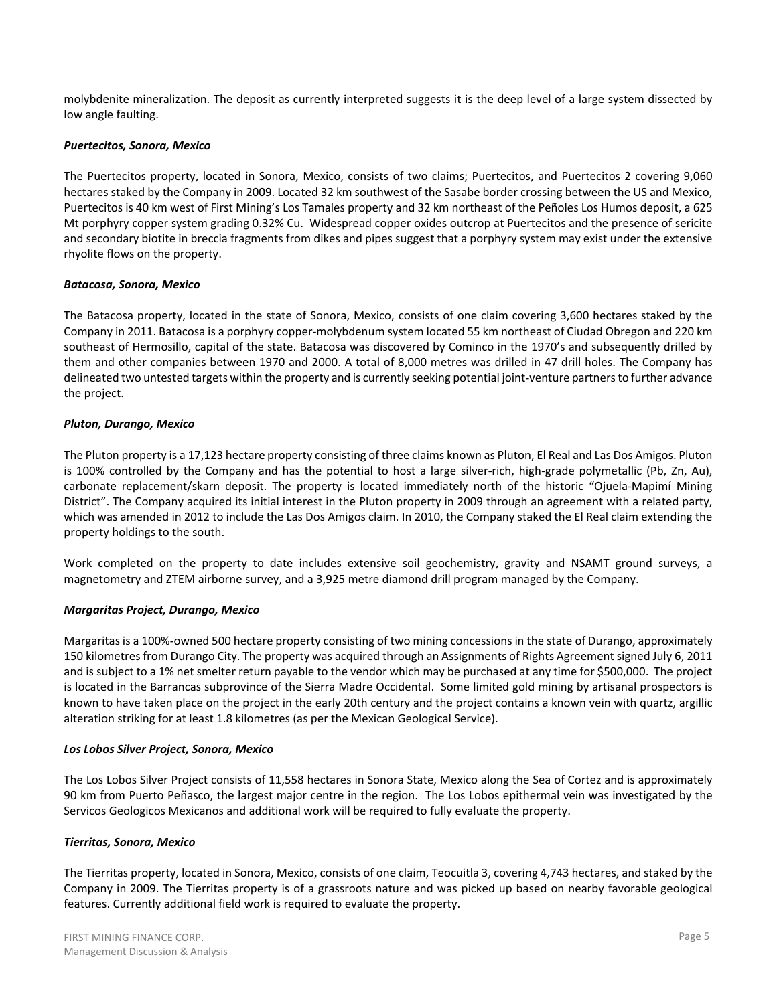molybdenite mineralization. The deposit as currently interpreted suggests it is the deep level of a large system dissected by low angle faulting.

### Puertecitos, Sonora, Mexico

The Puertecitos property, located in Sonora, Mexico, consists of two claims; Puertecitos, and Puertecitos 2 covering 9,060 hectares staked by the Company in 2009. Located 32 km southwest of the Sasabe border crossing between the US and Mexico, Puertecitos is 40 km west of First Mining's Los Tamales property and 32 km northeast of the Peñoles Los Humos deposit, a 625 Mt porphyry copper system grading 0.32% Cu. Widespread copper oxides outcrop at Puertecitos and the presence of sericite and secondary biotite in breccia fragments from dikes and pipes suggest that a porphyry system may exist under the extensive rhyolite flows on the property.

### Batacosa, Sonora, Mexico

The Batacosa property, located in the state of Sonora, Mexico, consists of one claim covering 3,600 hectares staked by the Company in 2011. Batacosa is a porphyry copper-molybdenum system located 55 km northeast of Ciudad Obregon and 220 km southeast of Hermosillo, capital of the state. Batacosa was discovered by Cominco in the 1970's and subsequently drilled by them and other companies between 1970 and 2000. A total of 8,000 metres was drilled in 47 drill holes. The Company has delineated two untested targets within the property and is currently seeking potential joint-venture partners to further advance the project.

### Pluton, Durango, Mexico

The Pluton property is a 17,123 hectare property consisting of three claims known as Pluton, El Real and Las Dos Amigos. Pluton is 100% controlled by the Company and has the potential to host a large silver-rich, high-grade polymetallic (Pb, Zn, Au), carbonate replacement/skarn deposit. The property is located immediately north of the historic "Ojuela-Mapimí Mining District". The Company acquired its initial interest in the Pluton property in 2009 through an agreement with a related party, which was amended in 2012 to include the Las Dos Amigos claim. In 2010, the Company staked the El Real claim extending the property holdings to the south.

Work completed on the property to date includes extensive soil geochemistry, gravity and NSAMT ground surveys, a magnetometry and ZTEM airborne survey, and a 3,925 metre diamond drill program managed by the Company.

# Margaritas Project, Durango, Mexico

Margaritas is a 100%-owned 500 hectare property consisting of two mining concessions in the state of Durango, approximately 150 kilometres from Durango City. The property was acquired through an Assignments of Rights Agreement signed July 6, 2011 and is subject to a 1% net smelter return payable to the vendor which may be purchased at any time for \$500,000. The project is located in the Barrancas subprovince of the Sierra Madre Occidental. Some limited gold mining by artisanal prospectors is known to have taken place on the project in the early 20th century and the project contains a known vein with quartz, argillic alteration striking for at least 1.8 kilometres (as per the Mexican Geological Service).

#### Los Lobos Silver Project, Sonora, Mexico

The Los Lobos Silver Project consists of 11,558 hectares in Sonora State, Mexico along the Sea of Cortez and is approximately 90 km from Puerto Peñasco, the largest major centre in the region. The Los Lobos epithermal vein was investigated by the Servicos Geologicos Mexicanos and additional work will be required to fully evaluate the property.

#### Tierritas, Sonora, Mexico

The Tierritas property, located in Sonora, Mexico, consists of one claim, Teocuitla 3, covering 4,743 hectares, and staked by the Company in 2009. The Tierritas property is of a grassroots nature and was picked up based on nearby favorable geological features. Currently additional field work is required to evaluate the property.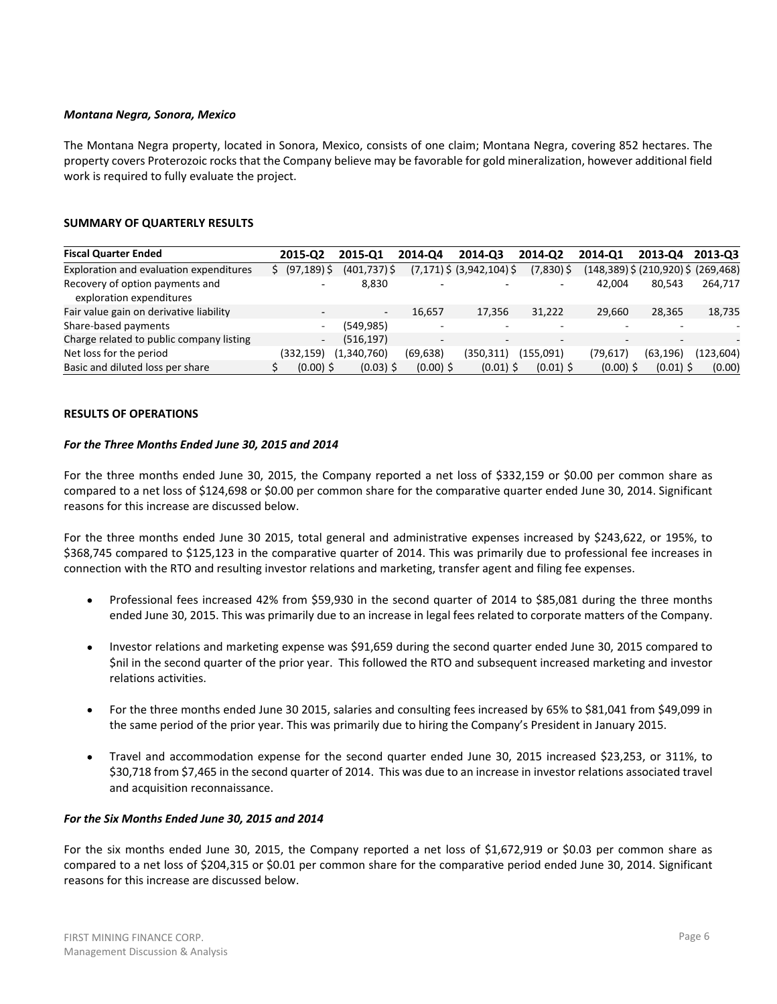### Montana Negra, Sonora, Mexico

The Montana Negra property, located in Sonora, Mexico, consists of one claim; Montana Negra, covering 852 hectares. The property covers Proterozoic rocks that the Company believe may be favorable for gold mineralization, however additional field work is required to fully evaluate the project.

# **SUMMARY OF QUARTERLY RESULTS**

| <b>Fiscal Quarter Ended</b>                                 | 2015-02        | 2015-01                  | 2014-04     | 2014-03                       | 2014-02      | 2014-01     | 2013-04                                   | 2013-03    |
|-------------------------------------------------------------|----------------|--------------------------|-------------|-------------------------------|--------------|-------------|-------------------------------------------|------------|
| Exploration and evaluation expenditures                     | $(97, 189)$ \$ | $(401,737)$ \$           |             | $(7,171)$ \$ $(3,942,104)$ \$ | $(7,830)$ \$ |             | $(148,389)$ \$ $(210,920)$ \$ $(269,468)$ |            |
| Recovery of option payments and<br>exploration expenditures | -              | 8,830                    |             |                               |              | 42.004      | 80.543                                    | 264.717    |
| Fair value gain on derivative liability                     |                | $\overline{\phantom{a}}$ | 16.657      | 17.356                        | 31.222       | 29.660      | 28.365                                    | 18,735     |
| Share-based payments                                        | $\sim$         | (549, 985)               |             | -                             |              |             |                                           |            |
| Charge related to public company listing                    | $\sim$         | (516, 197)               |             |                               |              |             |                                           |            |
| Net loss for the period                                     | (332,159)      | (1,340,760)              | (69, 638)   | (350.311)                     | (155.091)    | (79,617)    | (63, 196)                                 | (123, 604) |
| Basic and diluted loss per share                            | $(0.00)$ \$    | $(0.03)$ \$              | $(0.00)$ \$ | $(0.01)$ \$                   | $(0.01)$ \$  | $(0.00)$ \$ | $(0.01)$ \$                               | (0.00)     |

### **RESULTS OF OPERATIONS**

#### For the Three Months Ended June 30, 2015 and 2014

For the three months ended June 30, 2015, the Company reported a net loss of \$332,159 or \$0.00 per common share as compared to a net loss of \$124,698 or \$0.00 per common share for the comparative quarter ended June 30, 2014. Significant reasons for this increase are discussed below.

For the three months ended June 30 2015, total general and administrative expenses increased by \$243,622, or 195%, to \$368,745 compared to \$125,123 in the comparative quarter of 2014. This was primarily due to professional fee increases in connection with the RTO and resulting investor relations and marketing, transfer agent and filing fee expenses.

- Professional fees increased 42% from \$59,930 in the second quarter of 2014 to \$85,081 during the three months  $\bullet$ ended June 30, 2015. This was primarily due to an increase in legal fees related to corporate matters of the Company.
- Investor relations and marketing expense was \$91,659 during the second quarter ended June 30, 2015 compared to  $\bullet$ \$nil in the second quarter of the prior year. This followed the RTO and subsequent increased marketing and investor relations activities.
- For the three months ended June 30 2015, salaries and consulting fees increased by 65% to \$81,041 from \$49,099 in  $\bullet$ the same period of the prior year. This was primarily due to hiring the Company's President in January 2015.
- Travel and accommodation expense for the second quarter ended June 30, 2015 increased \$23,253, or 311%, to  $\bullet$ \$30,718 from \$7,465 in the second quarter of 2014. This was due to an increase in investor relations associated travel and acquisition reconnaissance.

# For the Six Months Ended June 30, 2015 and 2014

For the six months ended June 30, 2015, the Company reported a net loss of \$1,672,919 or \$0.03 per common share as compared to a net loss of \$204,315 or \$0.01 per common share for the comparative period ended June 30, 2014. Significant reasons for this increase are discussed below.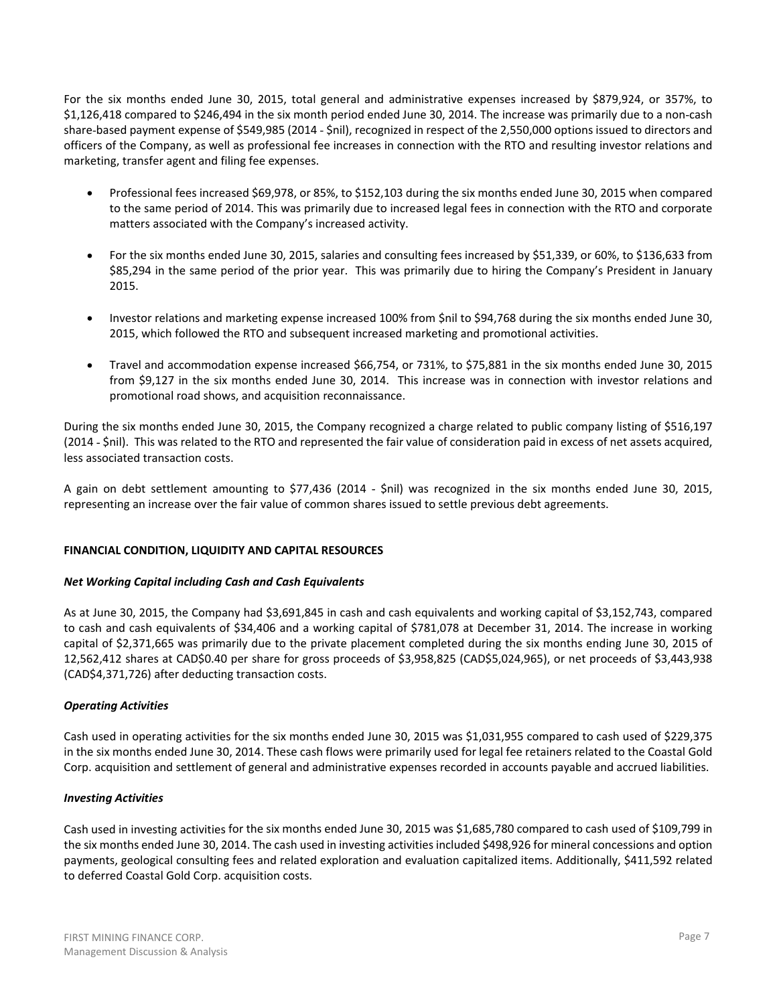For the six months ended June 30, 2015, total general and administrative expenses increased by \$879,924, or 357%, to \$1,126,418 compared to \$246,494 in the six month period ended June 30, 2014. The increase was primarily due to a non-cash share-based payment expense of \$549,985 (2014 - \$nil), recognized in respect of the 2,550,000 options issued to directors and officers of the Company, as well as professional fee increases in connection with the RTO and resulting investor relations and marketing, transfer agent and filing fee expenses.

- $\bullet$ Professional fees increased \$69,978, or 85%, to \$152,103 during the six months ended June 30, 2015 when compared to the same period of 2014. This was primarily due to increased legal fees in connection with the RTO and corporate matters associated with the Company's increased activity.
- $\bullet$ For the six months ended June 30, 2015, salaries and consulting fees increased by \$51,339, or 60%, to \$136,633 from \$85,294 in the same period of the prior year. This was primarily due to hiring the Company's President in January 2015.
- Investor relations and marketing expense increased 100% from \$nil to \$94,768 during the six months ended June 30, 2015, which followed the RTO and subsequent increased marketing and promotional activities.
- Travel and accommodation expense increased \$66,754, or 731%, to \$75,881 in the six months ended June 30, 2015  $\bullet$ from \$9,127 in the six months ended June 30, 2014. This increase was in connection with investor relations and promotional road shows, and acquisition reconnaissance.

During the six months ended June 30, 2015, the Company recognized a charge related to public company listing of \$516,197 (2014 - \$nil). This was related to the RTO and represented the fair value of consideration paid in excess of net assets acquired, less associated transaction costs.

A gain on debt settlement amounting to \$77,436 (2014 - \$nil) was recognized in the six months ended June 30, 2015, representing an increase over the fair value of common shares issued to settle previous debt agreements.

# FINANCIAL CONDITION, LIQUIDITY AND CAPITAL RESOURCES

# **Net Working Capital including Cash and Cash Equivalents**

As at June 30, 2015, the Company had \$3,691,845 in cash and cash equivalents and working capital of \$3,152,743, compared to cash and cash equivalents of \$34,406 and a working capital of \$781,078 at December 31, 2014. The increase in working capital of \$2,371,665 was primarily due to the private placement completed during the six months ending June 30, 2015 of 12,562,412 shares at CAD\$0.40 per share for gross proceeds of \$3,958,825 (CAD\$5,024,965), or net proceeds of \$3,443,938 (CAD\$4,371,726) after deducting transaction costs.

# **Operating Activities**

Cash used in operating activities for the six months ended June 30, 2015 was \$1,031,955 compared to cash used of \$229,375 in the six months ended June 30, 2014. These cash flows were primarily used for legal fee retainers related to the Coastal Gold Corp. acquisition and settlement of general and administrative expenses recorded in accounts payable and accrued liabilities.

# **Investing Activities**

Cash used in investing activities for the six months ended June 30, 2015 was \$1,685,780 compared to cash used of \$109,799 in the six months ended June 30, 2014. The cash used in investing activities included \$498,926 for mineral concessions and option payments, geological consulting fees and related exploration and evaluation capitalized items. Additionally, \$411,592 related to deferred Coastal Gold Corp. acquisition costs.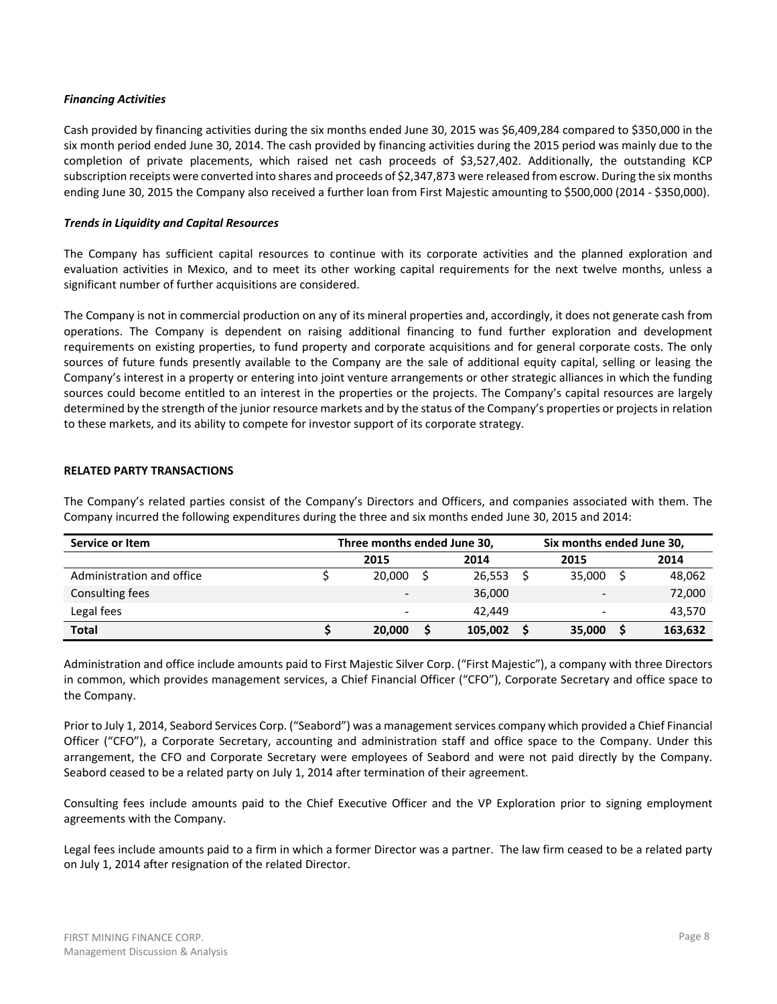### **Financing Activities**

Cash provided by financing activities during the six months ended June 30, 2015 was \$6,409,284 compared to \$350,000 in the six month period ended June 30, 2014. The cash provided by financing activities during the 2015 period was mainly due to the completion of private placements, which raised net cash proceeds of \$3,527,402. Additionally, the outstanding KCP subscription receipts were converted into shares and proceeds of \$2,347,873 were released from escrow. During the six months ending June 30, 2015 the Company also received a further loan from First Majestic amounting to \$500,000 (2014 - \$350,000).

# **Trends in Liquidity and Capital Resources**

The Company has sufficient capital resources to continue with its corporate activities and the planned exploration and evaluation activities in Mexico, and to meet its other working capital requirements for the next twelve months, unless a significant number of further acquisitions are considered.

The Company is not in commercial production on any of its mineral properties and, accordingly, it does not generate cash from operations. The Company is dependent on raising additional financing to fund further exploration and development requirements on existing properties, to fund property and corporate acquisitions and for general corporate costs. The only sources of future funds presently available to the Company are the sale of additional equity capital, selling or leasing the Company's interest in a property or entering into joint venture arrangements or other strategic alliances in which the funding sources could become entitled to an interest in the properties or the projects. The Company's capital resources are largely determined by the strength of the junior resource markets and by the status of the Company's properties or projects in relation to these markets, and its ability to compete for investor support of its corporate strategy.

# **RELATED PARTY TRANSACTIONS**

The Company's related parties consist of the Company's Directors and Officers, and companies associated with them. The Company incurred the following expenditures during the three and six months ended June 30, 2015 and 2014:

| Service or Item           | Three months ended June 30,<br>Six months ended June 30, |                          |  |         |  |                          |  |         |  |
|---------------------------|----------------------------------------------------------|--------------------------|--|---------|--|--------------------------|--|---------|--|
|                           |                                                          | 2015                     |  | 2014    |  | 2015                     |  | 2014    |  |
| Administration and office |                                                          | 20,000                   |  | 26.553  |  | 35.000                   |  | 48,062  |  |
| Consulting fees           |                                                          | $\overline{\phantom{a}}$ |  | 36,000  |  | $\overline{\phantom{a}}$ |  | 72,000  |  |
| Legal fees                |                                                          | $\overline{\phantom{a}}$ |  | 42.449  |  | -                        |  | 43,570  |  |
| <b>Total</b>              |                                                          | 20,000                   |  | 105,002 |  | 35,000                   |  | 163,632 |  |

Administration and office include amounts paid to First Majestic Silver Corp. ("First Majestic"), a company with three Directors in common, which provides management services, a Chief Financial Officer ("CFO"), Corporate Secretary and office space to the Company.

Prior to July 1, 2014, Seabord Services Corp. ("Seabord") was a management services company which provided a Chief Financial Officer ("CFO"), a Corporate Secretary, accounting and administration staff and office space to the Company. Under this arrangement, the CFO and Corporate Secretary were employees of Seabord and were not paid directly by the Company. Seabord ceased to be a related party on July 1, 2014 after termination of their agreement.

Consulting fees include amounts paid to the Chief Executive Officer and the VP Exploration prior to signing employment agreements with the Company.

Legal fees include amounts paid to a firm in which a former Director was a partner. The law firm ceased to be a related party on July 1, 2014 after resignation of the related Director.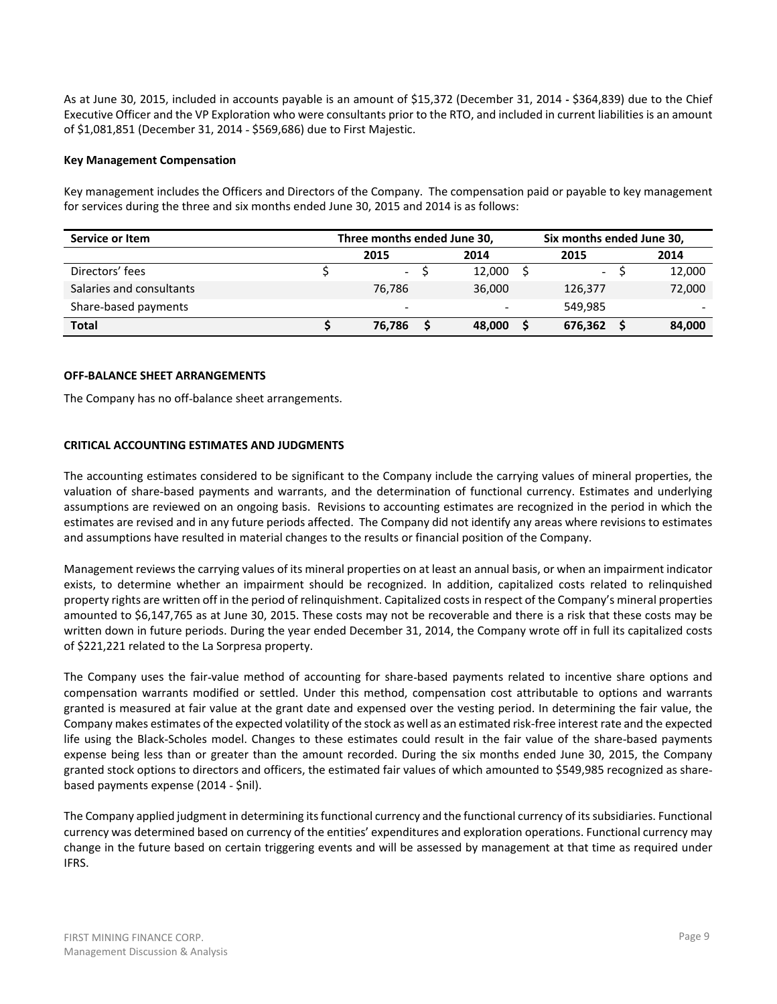As at June 30, 2015, included in accounts payable is an amount of \$15,372 (December 31, 2014 - \$364,839) due to the Chief Executive Officer and the VP Exploration who were consultants prior to the RTO, and included in current liabilities is an amount of \$1,081,851 (December 31, 2014 - \$569,686) due to First Majestic.

# **Key Management Compensation**

Key management includes the Officers and Directors of the Company. The compensation paid or payable to key management for services during the three and six months ended June 30, 2015 and 2014 is as follows:

| Service or Item          | Three months ended June 30, |                          |  |                          |  |         |      | Six months ended June 30, |  |  |
|--------------------------|-----------------------------|--------------------------|--|--------------------------|--|---------|------|---------------------------|--|--|
|                          | 2015                        |                          |  | 2014                     |  | 2015    | 2014 |                           |  |  |
| Directors' fees          |                             | $\blacksquare$           |  | 12.000                   |  | $\sim$  |      | 12,000                    |  |  |
| Salaries and consultants |                             | 76,786                   |  | 36,000                   |  | 126,377 |      | 72,000                    |  |  |
| Share-based payments     |                             | $\overline{\phantom{a}}$ |  | $\overline{\phantom{0}}$ |  | 549.985 |      | $\overline{\phantom{0}}$  |  |  |
| <b>Total</b>             |                             | 76,786                   |  | 48,000                   |  | 676,362 |      | 84,000                    |  |  |

#### **OFF-BALANCE SHEET ARRANGEMENTS**

The Company has no off-balance sheet arrangements.

### **CRITICAL ACCOUNTING ESTIMATES AND JUDGMENTS**

The accounting estimates considered to be significant to the Company include the carrying values of mineral properties, the valuation of share-based payments and warrants, and the determination of functional currency. Estimates and underlying assumptions are reviewed on an ongoing basis. Revisions to accounting estimates are recognized in the period in which the estimates are revised and in any future periods affected. The Company did not identify any areas where revisions to estimates and assumptions have resulted in material changes to the results or financial position of the Company.

Management reviews the carrying values of its mineral properties on at least an annual basis, or when an impairment indicator exists, to determine whether an impairment should be recognized. In addition, capitalized costs related to relinquished property rights are written off in the period of relinquishment. Capitalized costs in respect of the Company's mineral properties amounted to \$6,147,765 as at June 30, 2015. These costs may not be recoverable and there is a risk that these costs may be written down in future periods. During the year ended December 31, 2014, the Company wrote off in full its capitalized costs of \$221,221 related to the La Sorpresa property.

The Company uses the fair-value method of accounting for share-based payments related to incentive share options and compensation warrants modified or settled. Under this method, compensation cost attributable to options and warrants granted is measured at fair value at the grant date and expensed over the vesting period. In determining the fair value, the Company makes estimates of the expected volatility of the stock as well as an estimated risk-free interest rate and the expected life using the Black-Scholes model. Changes to these estimates could result in the fair value of the share-based payments expense being less than or greater than the amount recorded. During the six months ended June 30, 2015, the Company granted stock options to directors and officers, the estimated fair values of which amounted to \$549,985 recognized as sharebased payments expense (2014 - \$nil).

The Company applied judgment in determining its functional currency and the functional currency of its subsidiaries. Functional currency was determined based on currency of the entities' expenditures and exploration operations. Functional currency may change in the future based on certain triggering events and will be assessed by management at that time as required under IFRS.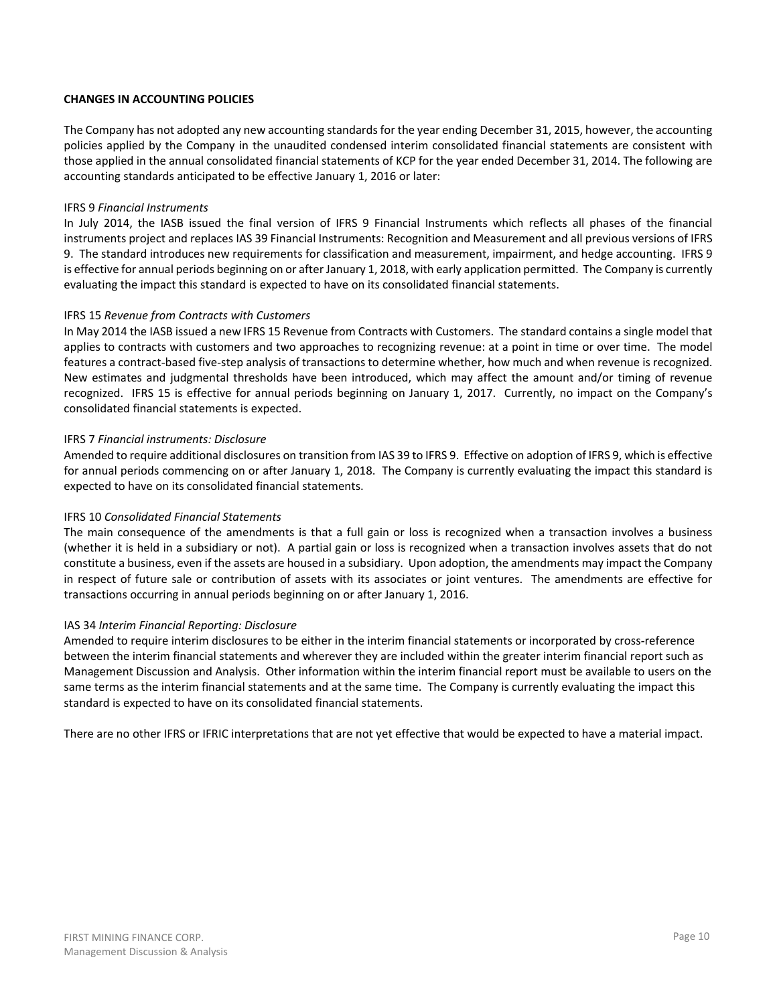# **CHANGES IN ACCOUNTING POLICIES**

The Company has not adopted any new accounting standards for the year ending December 31, 2015, however, the accounting policies applied by the Company in the unaudited condensed interim consolidated financial statements are consistent with those applied in the annual consolidated financial statements of KCP for the year ended December 31, 2014. The following are accounting standards anticipated to be effective January 1, 2016 or later:

#### **IFRS 9 Financial Instruments**

In July 2014, the IASB issued the final version of IFRS 9 Financial Instruments which reflects all phases of the financial instruments project and replaces IAS 39 Financial Instruments: Recognition and Measurement and all previous versions of IFRS 9. The standard introduces new requirements for classification and measurement, impairment, and hedge accounting. IFRS 9 is effective for annual periods beginning on or after January 1, 2018, with early application permitted. The Company is currently evaluating the impact this standard is expected to have on its consolidated financial statements.

### IFRS 15 Revenue from Contracts with Customers

In May 2014 the IASB issued a new IFRS 15 Revenue from Contracts with Customers. The standard contains a single model that applies to contracts with customers and two approaches to recognizing revenue: at a point in time or over time. The model features a contract-based five-step analysis of transactions to determine whether, how much and when revenue is recognized. New estimates and judgmental thresholds have been introduced, which may affect the amount and/or timing of revenue recognized. IFRS 15 is effective for annual periods beginning on January 1, 2017. Currently, no impact on the Company's consolidated financial statements is expected.

### **IFRS 7 Financial instruments: Disclosure**

Amended to require additional disclosures on transition from IAS 39 to IFRS 9. Effective on adoption of IFRS 9, which is effective for annual periods commencing on or after January 1, 2018. The Company is currently evaluating the impact this standard is expected to have on its consolidated financial statements.

# **IFRS 10 Consolidated Financial Statements**

The main consequence of the amendments is that a full gain or loss is recognized when a transaction involves a business (whether it is held in a subsidiary or not). A partial gain or loss is recognized when a transaction involves assets that do not constitute a business, even if the assets are housed in a subsidiary. Upon adoption, the amendments may impact the Company in respect of future sale or contribution of assets with its associates or joint ventures. The amendments are effective for transactions occurring in annual periods beginning on or after January 1, 2016.

#### IAS 34 Interim Financial Reporting: Disclosure

Amended to require interim disclosures to be either in the interim financial statements or incorporated by cross-reference between the interim financial statements and wherever they are included within the greater interim financial report such as Management Discussion and Analysis. Other information within the interim financial report must be available to users on the same terms as the interim financial statements and at the same time. The Company is currently evaluating the impact this standard is expected to have on its consolidated financial statements.

There are no other IFRS or IFRIC interpretations that are not yet effective that would be expected to have a material impact.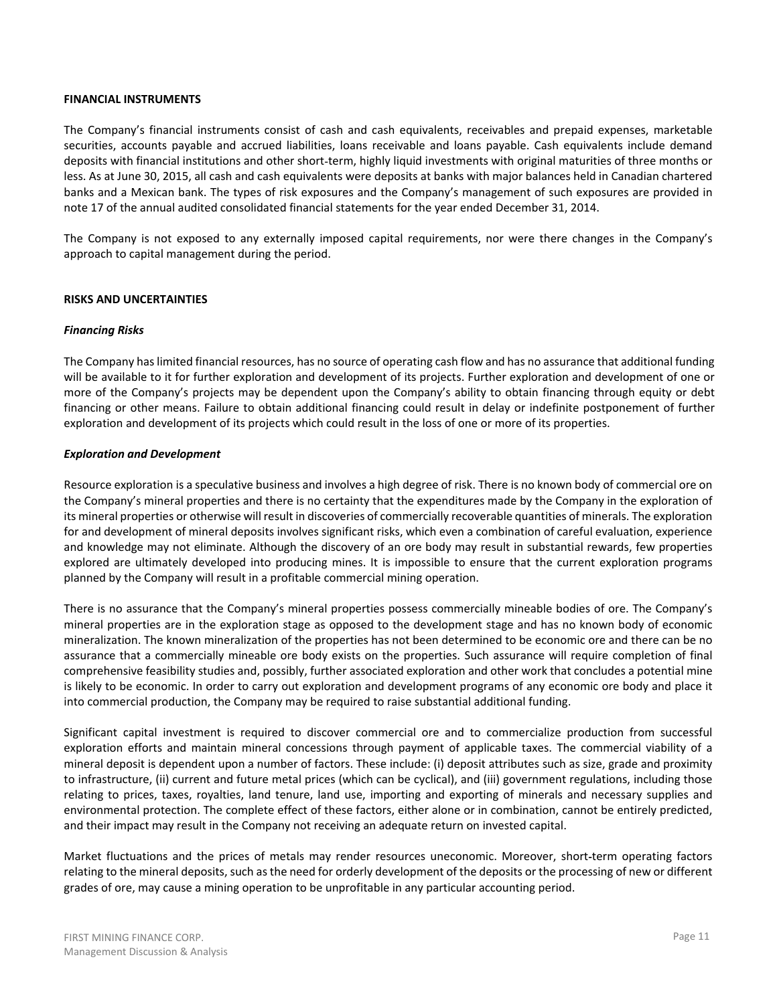#### **FINANCIAL INSTRUMENTS**

The Company's financial instruments consist of cash and cash equivalents, receivables and prepaid expenses, marketable securities, accounts payable and accrued liabilities, loans receivable and loans payable. Cash equivalents include demand deposits with financial institutions and other short-term, highly liquid investments with original maturities of three months or less. As at June 30, 2015, all cash and cash equivalents were deposits at banks with major balances held in Canadian chartered banks and a Mexican bank. The types of risk exposures and the Company's management of such exposures are provided in note 17 of the annual audited consolidated financial statements for the year ended December 31, 2014.

The Company is not exposed to any externally imposed capital requirements, nor were there changes in the Company's approach to capital management during the period.

# **RISKS AND UNCERTAINTIES**

### **Financing Risks**

The Company has limited financial resources, has no source of operating cash flow and has no assurance that additional funding will be available to it for further exploration and development of its projects. Further exploration and development of one or more of the Company's projects may be dependent upon the Company's ability to obtain financing through equity or debt financing or other means. Failure to obtain additional financing could result in delay or indefinite postponement of further exploration and development of its projects which could result in the loss of one or more of its properties.

### **Exploration and Development**

Resource exploration is a speculative business and involves a high degree of risk. There is no known body of commercial ore on the Company's mineral properties and there is no certainty that the expenditures made by the Company in the exploration of its mineral properties or otherwise will result in discoveries of commercially recoverable quantities of minerals. The exploration for and development of mineral deposits involves significant risks, which even a combination of careful evaluation, experience and knowledge may not eliminate. Although the discovery of an ore body may result in substantial rewards, few properties explored are ultimately developed into producing mines. It is impossible to ensure that the current exploration programs planned by the Company will result in a profitable commercial mining operation.

There is no assurance that the Company's mineral properties possess commercially mineable bodies of ore. The Company's mineral properties are in the exploration stage as opposed to the development stage and has no known body of economic mineralization. The known mineralization of the properties has not been determined to be economic ore and there can be no assurance that a commercially mineable ore body exists on the properties. Such assurance will require completion of final comprehensive feasibility studies and, possibly, further associated exploration and other work that concludes a potential mine is likely to be economic. In order to carry out exploration and development programs of any economic ore body and place it into commercial production, the Company may be required to raise substantial additional funding.

Significant capital investment is required to discover commercial ore and to commercialize production from successful exploration efforts and maintain mineral concessions through payment of applicable taxes. The commercial viability of a mineral deposit is dependent upon a number of factors. These include: (i) deposit attributes such as size, grade and proximity to infrastructure, (ii) current and future metal prices (which can be cyclical), and (iii) government regulations, including those relating to prices, taxes, royalties, land tenure, land use, importing and exporting of minerals and necessary supplies and environmental protection. The complete effect of these factors, either alone or in combination, cannot be entirely predicted, and their impact may result in the Company not receiving an adequate return on invested capital.

Market fluctuations and the prices of metals may render resources uneconomic. Moreover, short-term operating factors relating to the mineral deposits, such as the need for orderly development of the deposits or the processing of new or different grades of ore, may cause a mining operation to be unprofitable in any particular accounting period.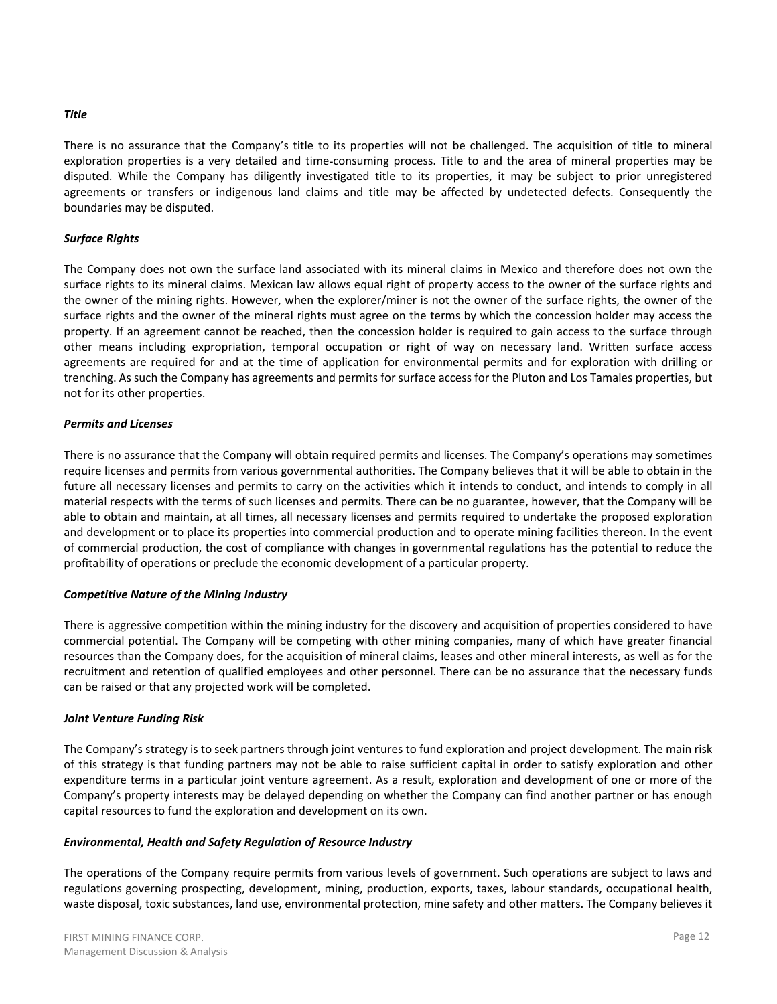### **Title**

There is no assurance that the Company's title to its properties will not be challenged. The acquisition of title to mineral exploration properties is a very detailed and time-consuming process. Title to and the area of mineral properties may be disputed. While the Company has diligently investigated title to its properties, it may be subject to prior unregistered agreements or transfers or indigenous land claims and title may be affected by undetected defects. Consequently the boundaries may be disputed.

#### **Surface Rights**

The Company does not own the surface land associated with its mineral claims in Mexico and therefore does not own the surface rights to its mineral claims. Mexican law allows equal right of property access to the owner of the surface rights and the owner of the mining rights. However, when the explorer/miner is not the owner of the surface rights, the owner of the surface rights and the owner of the mineral rights must agree on the terms by which the concession holder may access the property. If an agreement cannot be reached, then the concession holder is required to gain access to the surface through other means including expropriation, temporal occupation or right of way on necessary land. Written surface access agreements are required for and at the time of application for environmental permits and for exploration with drilling or trenching. As such the Company has agreements and permits for surface access for the Pluton and Los Tamales properties, but not for its other properties.

#### **Permits and Licenses**

There is no assurance that the Company will obtain required permits and licenses. The Company's operations may sometimes require licenses and permits from various governmental authorities. The Company believes that it will be able to obtain in the future all necessary licenses and permits to carry on the activities which it intends to conduct, and intends to comply in all material respects with the terms of such licenses and permits. There can be no guarantee, however, that the Company will be able to obtain and maintain, at all times, all necessary licenses and permits required to undertake the proposed exploration and development or to place its properties into commercial production and to operate mining facilities thereon. In the event of commercial production, the cost of compliance with changes in governmental regulations has the potential to reduce the profitability of operations or preclude the economic development of a particular property.

#### **Competitive Nature of the Mining Industry**

There is aggressive competition within the mining industry for the discovery and acquisition of properties considered to have commercial potential. The Company will be competing with other mining companies, many of which have greater financial resources than the Company does, for the acquisition of mineral claims, leases and other mineral interests, as well as for the recruitment and retention of qualified employees and other personnel. There can be no assurance that the necessary funds can be raised or that any projected work will be completed.

#### **Joint Venture Funding Risk**

The Company's strategy is to seek partners through joint ventures to fund exploration and project development. The main risk of this strategy is that funding partners may not be able to raise sufficient capital in order to satisfy exploration and other expenditure terms in a particular joint venture agreement. As a result, exploration and development of one or more of the Company's property interests may be delayed depending on whether the Company can find another partner or has enough capital resources to fund the exploration and development on its own.

#### Environmental, Health and Safety Regulation of Resource Industry

The operations of the Company require permits from various levels of government. Such operations are subject to laws and regulations governing prospecting, development, mining, production, exports, taxes, labour standards, occupational health, waste disposal, toxic substances, land use, environmental protection, mine safety and other matters. The Company believes it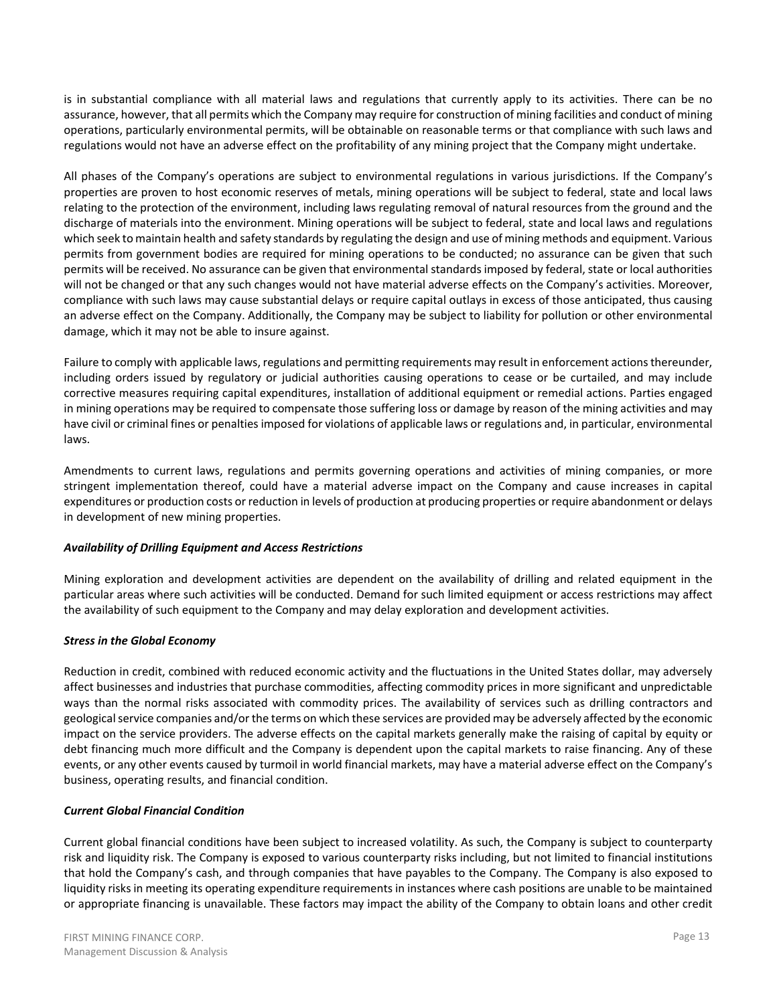is in substantial compliance with all material laws and regulations that currently apply to its activities. There can be no assurance, however, that all permits which the Company may require for construction of mining facilities and conduct of mining operations, particularly environmental permits, will be obtainable on reasonable terms or that compliance with such laws and regulations would not have an adverse effect on the profitability of any mining project that the Company might undertake.

All phases of the Company's operations are subject to environmental regulations in various jurisdictions. If the Company's properties are proven to host economic reserves of metals, mining operations will be subject to federal, state and local laws relating to the protection of the environment, including laws regulating removal of natural resources from the ground and the discharge of materials into the environment. Mining operations will be subject to federal, state and local laws and regulations which seek to maintain health and safety standards by regulating the design and use of mining methods and equipment. Various permits from government bodies are required for mining operations to be conducted; no assurance can be given that such permits will be received. No assurance can be given that environmental standards imposed by federal, state or local authorities will not be changed or that any such changes would not have material adverse effects on the Company's activities. Moreover, compliance with such laws may cause substantial delays or require capital outlays in excess of those anticipated, thus causing an adverse effect on the Company. Additionally, the Company may be subject to liability for pollution or other environmental damage, which it may not be able to insure against.

Failure to comply with applicable laws, regulations and permitting requirements may result in enforcement actions thereunder, including orders issued by regulatory or judicial authorities causing operations to cease or be curtailed, and may include corrective measures requiring capital expenditures, installation of additional equipment or remedial actions. Parties engaged in mining operations may be required to compensate those suffering loss or damage by reason of the mining activities and may have civil or criminal fines or penalties imposed for violations of applicable laws or regulations and, in particular, environmental laws.

Amendments to current laws, regulations and permits governing operations and activities of mining companies, or more stringent implementation thereof, could have a material adverse impact on the Company and cause increases in capital expenditures or production costs or reduction in levels of production at producing properties or require abandonment or delays in development of new mining properties.

# **Availability of Drilling Equipment and Access Restrictions**

Mining exploration and development activities are dependent on the availability of drilling and related equipment in the particular areas where such activities will be conducted. Demand for such limited equipment or access restrictions may affect the availability of such equipment to the Company and may delay exploration and development activities.

# **Stress in the Global Economy**

Reduction in credit, combined with reduced economic activity and the fluctuations in the United States dollar, may adversely affect businesses and industries that purchase commodities, affecting commodity prices in more significant and unpredictable ways than the normal risks associated with commodity prices. The availability of services such as drilling contractors and geological service companies and/or the terms on which these services are provided may be adversely affected by the economic impact on the service providers. The adverse effects on the capital markets generally make the raising of capital by equity or debt financing much more difficult and the Company is dependent upon the capital markets to raise financing. Any of these events, or any other events caused by turmoil in world financial markets, may have a material adverse effect on the Company's business, operating results, and financial condition.

# **Current Global Financial Condition**

Current global financial conditions have been subject to increased volatility. As such, the Company is subject to counterparty risk and liquidity risk. The Company is exposed to various counterparty risks including, but not limited to financial institutions that hold the Company's cash, and through companies that have payables to the Company. The Company is also exposed to liquidity risks in meeting its operating expenditure requirements in instances where cash positions are unable to be maintained or appropriate financing is unavailable. These factors may impact the ability of the Company to obtain loans and other credit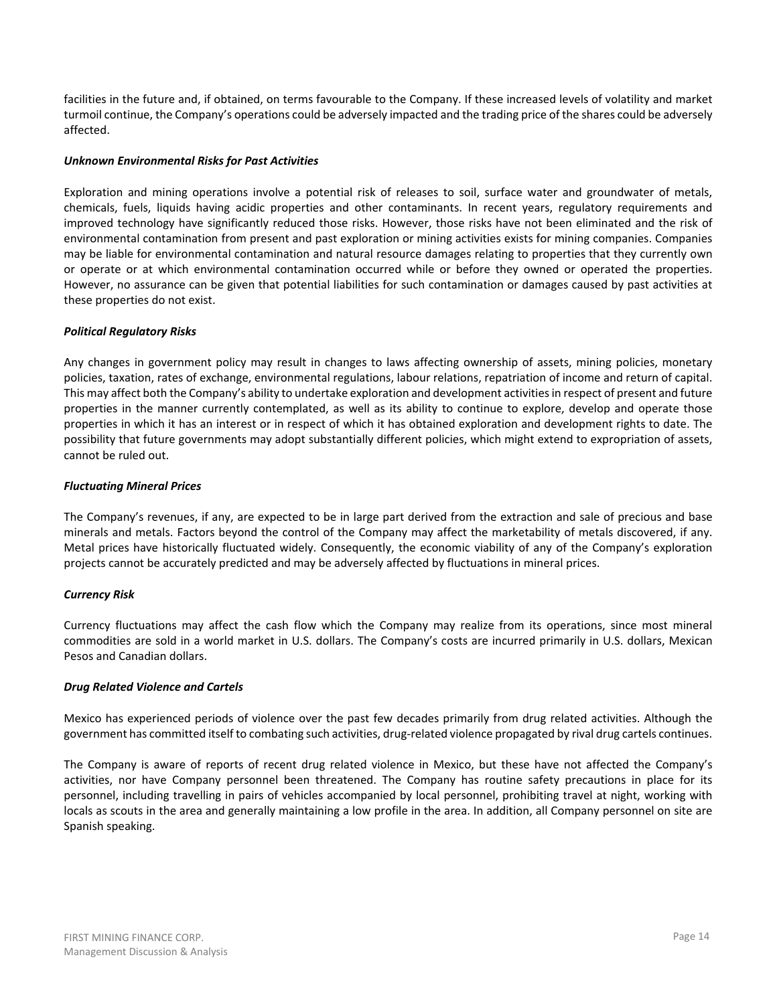facilities in the future and, if obtained, on terms favourable to the Company. If these increased levels of volatility and market turmoil continue, the Company's operations could be adversely impacted and the trading price of the shares could be adversely affected.

# **Unknown Environmental Risks for Past Activities**

Exploration and mining operations involve a potential risk of releases to soil, surface water and groundwater of metals, chemicals, fuels, liquids having acidic properties and other contaminants. In recent years, regulatory requirements and improved technology have significantly reduced those risks. However, those risks have not been eliminated and the risk of environmental contamination from present and past exploration or mining activities exists for mining companies. Companies may be liable for environmental contamination and natural resource damages relating to properties that they currently own or operate or at which environmental contamination occurred while or before they owned or operated the properties. However, no assurance can be given that potential liabilities for such contamination or damages caused by past activities at these properties do not exist.

### **Political Regulatory Risks**

Any changes in government policy may result in changes to laws affecting ownership of assets, mining policies, monetary policies, taxation, rates of exchange, environmental regulations, labour relations, repatriation of income and return of capital. This may affect both the Company's ability to undertake exploration and development activities in respect of present and future properties in the manner currently contemplated, as well as its ability to continue to explore, develop and operate those properties in which it has an interest or in respect of which it has obtained exploration and development rights to date. The possibility that future governments may adopt substantially different policies, which might extend to expropriation of assets, cannot be ruled out.

#### **Fluctuating Mineral Prices**

The Company's revenues, if any, are expected to be in large part derived from the extraction and sale of precious and base minerals and metals. Factors beyond the control of the Company may affect the marketability of metals discovered, if any. Metal prices have historically fluctuated widely. Consequently, the economic viability of any of the Company's exploration projects cannot be accurately predicted and may be adversely affected by fluctuations in mineral prices.

# **Currency Risk**

Currency fluctuations may affect the cash flow which the Company may realize from its operations, since most mineral commodities are sold in a world market in U.S. dollars. The Company's costs are incurred primarily in U.S. dollars, Mexican Pesos and Canadian dollars.

# **Drug Related Violence and Cartels**

Mexico has experienced periods of violence over the past few decades primarily from drug related activities. Although the government has committed itself to combating such activities, drug-related violence propagated by rival drug cartels continues.

The Company is aware of reports of recent drug related violence in Mexico, but these have not affected the Company's activities, nor have Company personnel been threatened. The Company has routine safety precautions in place for its personnel, including travelling in pairs of vehicles accompanied by local personnel, prohibiting travel at night, working with locals as scouts in the area and generally maintaining a low profile in the area. In addition, all Company personnel on site are Spanish speaking.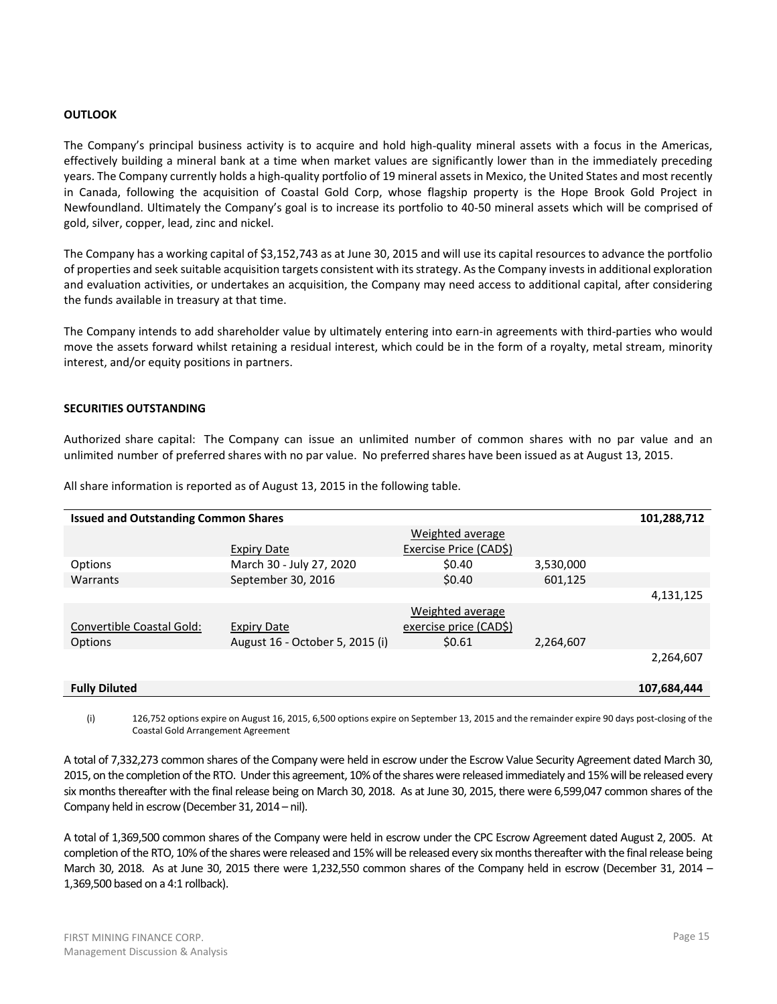### **OUTLOOK**

The Company's principal business activity is to acquire and hold high-quality mineral assets with a focus in the Americas, effectively building a mineral bank at a time when market values are significantly lower than in the immediately preceding years. The Company currently holds a high-quality portfolio of 19 mineral assets in Mexico, the United States and most recently in Canada, following the acquisition of Coastal Gold Corp, whose flagship property is the Hope Brook Gold Project in Newfoundland. Ultimately the Company's goal is to increase its portfolio to 40-50 mineral assets which will be comprised of gold, silver, copper, lead, zinc and nickel.

The Company has a working capital of \$3,152,743 as at June 30, 2015 and will use its capital resources to advance the portfolio of properties and seek suitable acquisition targets consistent with its strategy. As the Company invests in additional exploration and evaluation activities, or undertakes an acquisition, the Company may need access to additional capital, after considering the funds available in treasury at that time.

The Company intends to add shareholder value by ultimately entering into earn-in agreements with third-parties who would move the assets forward whilst retaining a residual interest, which could be in the form of a royalty, metal stream, minority interest, and/or equity positions in partners.

### **SECURITIES OUTSTANDING**

Authorized share capital: The Company can issue an unlimited number of common shares with no par value and an unlimited number of preferred shares with no par value. No preferred shares have been issued as at August 13, 2015.

| <b>Issued and Outstanding Common Shares</b><br>101,288,712 |                                 |                        |           |             |  |  |  |  |  |  |  |
|------------------------------------------------------------|---------------------------------|------------------------|-----------|-------------|--|--|--|--|--|--|--|
|                                                            |                                 | Weighted average       |           |             |  |  |  |  |  |  |  |
|                                                            | Expiry Date                     | Exercise Price (CAD\$) |           |             |  |  |  |  |  |  |  |
| Options                                                    | March 30 - July 27, 2020        | \$0.40                 | 3,530,000 |             |  |  |  |  |  |  |  |
| Warrants                                                   | September 30, 2016              | \$0.40                 | 601,125   |             |  |  |  |  |  |  |  |
|                                                            |                                 |                        |           | 4,131,125   |  |  |  |  |  |  |  |
|                                                            |                                 | Weighted average       |           |             |  |  |  |  |  |  |  |
| Convertible Coastal Gold:                                  | Expiry Date                     | exercise price (CAD\$) |           |             |  |  |  |  |  |  |  |
| Options                                                    | August 16 - October 5, 2015 (i) | \$0.61                 | 2,264,607 |             |  |  |  |  |  |  |  |
|                                                            |                                 |                        |           | 2,264,607   |  |  |  |  |  |  |  |
|                                                            |                                 |                        |           |             |  |  |  |  |  |  |  |
| <b>Fully Diluted</b>                                       |                                 |                        |           | 107,684,444 |  |  |  |  |  |  |  |

All share information is reported as of August 13, 2015 in the following table.

 $(i)$ 126,752 options expire on August 16, 2015, 6,500 options expire on September 13, 2015 and the remainder expire 90 days post-closing of the Coastal Gold Arrangement Agreement

A total of 7,332,273 common shares of the Company were held in escrow under the Escrow Value Security Agreement dated March 30, 2015, on the completion of the RTO. Under this agreement, 10% of the shares were released immediately and 15% will be released every six months thereafter with the final release being on March 30, 2018. As at June 30, 2015, there were 6,599,047 common shares of the Company held in escrow (December 31, 2014 - nil).

A total of 1,369,500 common shares of the Company were held in escrow under the CPC Escrow Agreement dated August 2, 2005. At completion of the RTO, 10% of the shares were released and 15% will be released every six months thereafter with the final release being March 30, 2018. As at June 30, 2015 there were 1,232,550 common shares of the Company held in escrow (December 31, 2014 -1,369,500 based on a 4:1 rollback).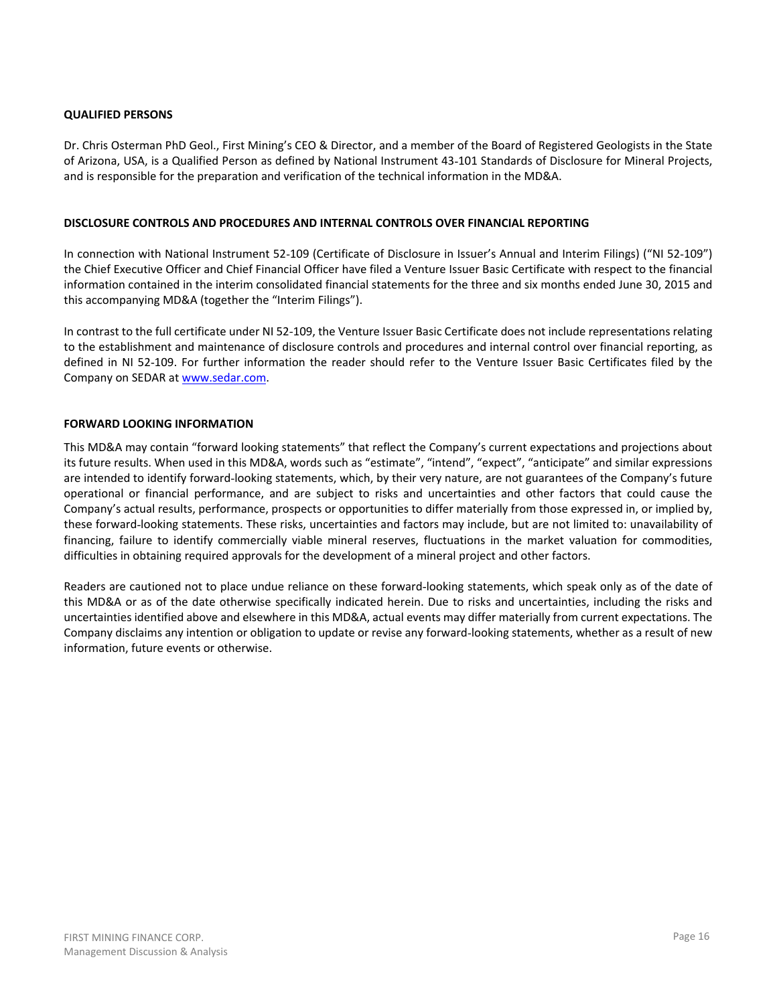# **QUALIFIED PERSONS**

Dr. Chris Osterman PhD Geol., First Mining's CEO & Director, and a member of the Board of Registered Geologists in the State of Arizona, USA, is a Qualified Person as defined by National Instrument 43-101 Standards of Disclosure for Mineral Projects, and is responsible for the preparation and verification of the technical information in the MD&A.

# DISCLOSURE CONTROLS AND PROCEDURES AND INTERNAL CONTROLS OVER FINANCIAL REPORTING

In connection with National Instrument 52-109 (Certificate of Disclosure in Issuer's Annual and Interim Filings) ("NI 52-109") the Chief Executive Officer and Chief Financial Officer have filed a Venture Issuer Basic Certificate with respect to the financial information contained in the interim consolidated financial statements for the three and six months ended June 30, 2015 and this accompanying MD&A (together the "Interim Filings").

In contrast to the full certificate under NI 52-109, the Venture Issuer Basic Certificate does not include representations relating to the establishment and maintenance of disclosure controls and procedures and internal control over financial reporting, as defined in NI 52-109. For further information the reader should refer to the Venture Issuer Basic Certificates filed by the Company on SEDAR at www.sedar.com.

# **FORWARD LOOKING INFORMATION**

This MD&A may contain "forward looking statements" that reflect the Company's current expectations and projections about its future results. When used in this MD&A, words such as "estimate", "intend", "expect", "anticipate" and similar expressions are intended to identify forward-looking statements, which, by their very nature, are not guarantees of the Company's future operational or financial performance, and are subject to risks and uncertainties and other factors that could cause the Company's actual results, performance, prospects or opportunities to differ materially from those expressed in, or implied by, these forward-looking statements. These risks, uncertainties and factors may include, but are not limited to: unavailability of financing, failure to identify commercially viable mineral reserves, fluctuations in the market valuation for commodities, difficulties in obtaining required approvals for the development of a mineral project and other factors.

Readers are cautioned not to place undue reliance on these forward-looking statements, which speak only as of the date of this MD&A or as of the date otherwise specifically indicated herein. Due to risks and uncertainties, including the risks and uncertainties identified above and elsewhere in this MD&A, actual events may differ materially from current expectations. The Company disclaims any intention or obligation to update or revise any forward-looking statements, whether as a result of new information, future events or otherwise.